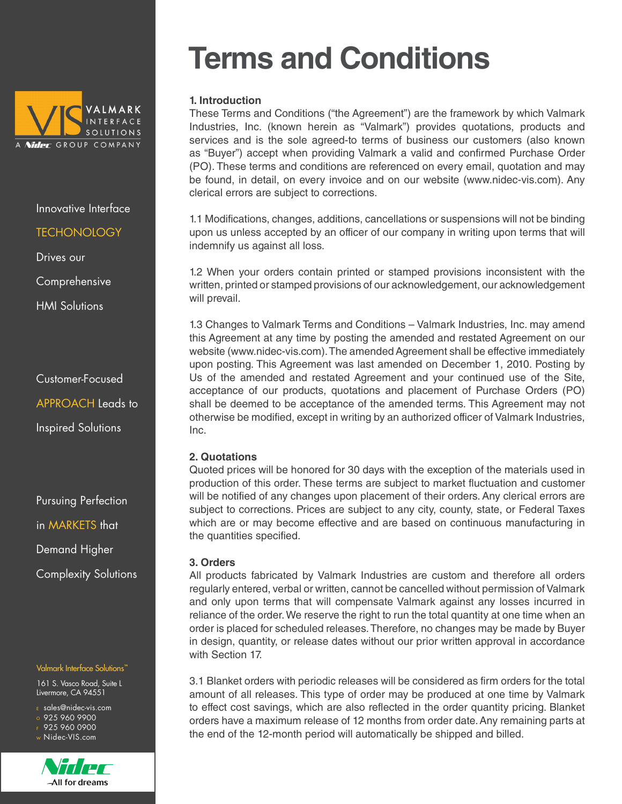

#### **TECHONOLOGY**

Drives our

Comprehensive

HMI Solutions

Customer-Focused APPROACH Leads to Inspired Solutions

Pursuing Perfection in MARKETS that Demand Higher Complexity Solutions

#### Valmark Interface Solutions<sup>"</sup>

161 S. Vasco Road, Suite L Livermore, CA 94551

<sup>E</sup> sales@nidec-vis.com

- $\overline{\circ}$  925 960 9900  $F$  925 960 0900
- <sup>W</sup> Nidec-VIS.com



# **Terms and Conditions**

# **1. Introduction**

These Terms and Conditions ("the Agreement") are the framework by which Valmark Industries, Inc. (known herein as "Valmark") provides quotations, products and services and is the sole agreed-to terms of business our customers (also known as "Buyer") accept when providing Valmark a valid and confirmed Purchase Order (PO). These terms and conditions are referenced on every email, quotation and may be found, in detail, on every invoice and on our website (www.nidec-vis.com). Any clerical errors are subject to corrections.

1.1 Modifications, changes, additions, cancellations or suspensions will not be binding upon us unless accepted by an officer of our company in writing upon terms that will indemnify us against all loss.

1.2 When your orders contain printed or stamped provisions inconsistent with the written, printed or stamped provisions of our acknowledgement, our acknowledgement will prevail.

1.3 Changes to Valmark Terms and Conditions – Valmark Industries, Inc. may amend this Agreement at any time by posting the amended and restated Agreement on our website (www.nidec-vis.com). The amended Agreement shall be effective immediately upon posting. This Agreement was last amended on December 1, 2010. Posting by Us of the amended and restated Agreement and your continued use of the Site, acceptance of our products, quotations and placement of Purchase Orders (PO) shall be deemed to be acceptance of the amended terms. This Agreement may not otherwise be modified, except in writing by an authorized officer of Valmark Industries, Inc.

# **2. Quotations**

Quoted prices will be honored for 30 days with the exception of the materials used in production of this order. These terms are subject to market fluctuation and customer will be notified of any changes upon placement of their orders. Any clerical errors are subject to corrections. Prices are subject to any city, county, state, or Federal Taxes which are or may become effective and are based on continuous manufacturing in the quantities specified.

# **3. Orders**

All products fabricated by Valmark Industries are custom and therefore all orders regularly entered, verbal or written, cannot be cancelled without permission of Valmark and only upon terms that will compensate Valmark against any losses incurred in reliance of the order. We reserve the right to run the total quantity at one time when an order is placed for scheduled releases. Therefore, no changes may be made by Buyer in design, quantity, or release dates without our prior written approval in accordance with Section 17.

3.1 Blanket orders with periodic releases will be considered as firm orders for the total amount of all releases. This type of order may be produced at one time by Valmark to effect cost savings, which are also reflected in the order quantity pricing. Blanket orders have a maximum release of 12 months from order date. Any remaining parts at the end of the 12-month period will automatically be shipped and billed.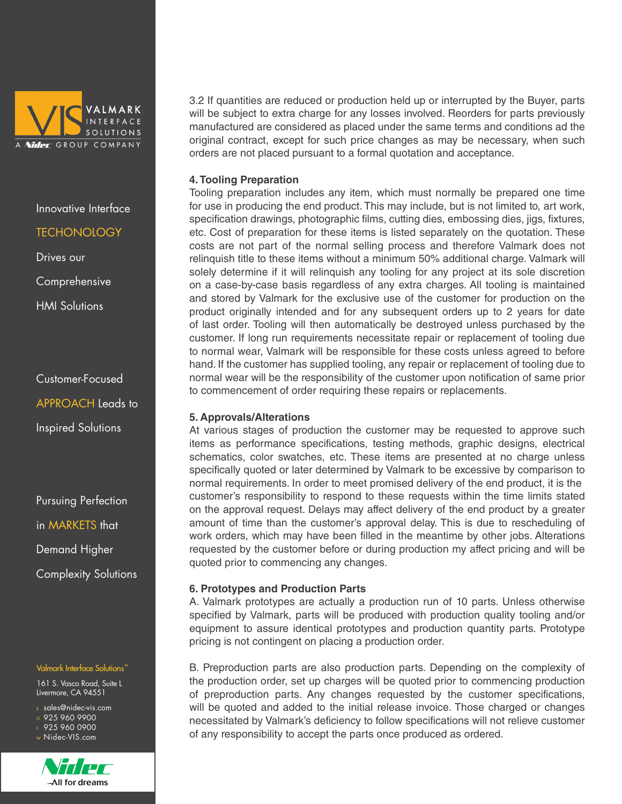

# **TECHONOLOGY**

Drives our

Comprehensive

HMI Solutions

Customer-Focused APPROACH Leads to Inspired Solutions

Pursuing Perfection in MARKETS that Demand Higher Complexity Solutions

#### Valmark Interface Solutions<sup>"</sup>

161 S. Vasco Road, Suite L Livermore, CA 94551

- <sup>E</sup> sales@nidec-vis.com
- $\overline{0}$  925 960 9900
- F 925 960 0900 <sup>W</sup> Nidec-VIS.com



3.2 If quantities are reduced or production held up or interrupted by the Buyer, parts will be subject to extra charge for any losses involved. Reorders for parts previously manufactured are considered as placed under the same terms and conditions ad the original contract, except for such price changes as may be necessary, when such orders are not placed pursuant to a formal quotation and acceptance.

## **4. Tooling Preparation**

Tooling preparation includes any item, which must normally be prepared one time for use in producing the end product. This may include, but is not limited to, art work, specification drawings, photographic films, cutting dies, embossing dies, jigs, fixtures, etc. Cost of preparation for these items is listed separately on the quotation. These costs are not part of the normal selling process and therefore Valmark does not relinquish title to these items without a minimum 50% additional charge. Valmark will solely determine if it will relinquish any tooling for any project at its sole discretion on a case-by-case basis regardless of any extra charges. All tooling is maintained and stored by Valmark for the exclusive use of the customer for production on the product originally intended and for any subsequent orders up to 2 years for date of last order. Tooling will then automatically be destroyed unless purchased by the customer. If long run requirements necessitate repair or replacement of tooling due to normal wear, Valmark will be responsible for these costs unless agreed to before hand. If the customer has supplied tooling, any repair or replacement of tooling due to normal wear will be the responsibility of the customer upon notification of same prior to commencement of order requiring these repairs or replacements.

#### **5. Approvals/Alterations**

At various stages of production the customer may be requested to approve such items as performance specifications, testing methods, graphic designs, electrical schematics, color swatches, etc. These items are presented at no charge unless specifically quoted or later determined by Valmark to be excessive by comparison to normal requirements. In order to meet promised delivery of the end product, it is the customer's responsibility to respond to these requests within the time limits stated on the approval request. Delays may affect delivery of the end product by a greater amount of time than the customer's approval delay. This is due to rescheduling of work orders, which may have been filled in the meantime by other jobs. Alterations requested by the customer before or during production my affect pricing and will be quoted prior to commencing any changes.

# **6. Prototypes and Production Parts**

A. Valmark prototypes are actually a production run of 10 parts. Unless otherwise specified by Valmark, parts will be produced with production quality tooling and/or equipment to assure identical prototypes and production quantity parts. Prototype pricing is not contingent on placing a production order.

B. Preproduction parts are also production parts. Depending on the complexity of the production order, set up charges will be quoted prior to commencing production of preproduction parts. Any changes requested by the customer specifications, will be quoted and added to the initial release invoice. Those charged or changes necessitated by Valmark's deficiency to follow specifications will not relieve customer of any responsibility to accept the parts once produced as ordered.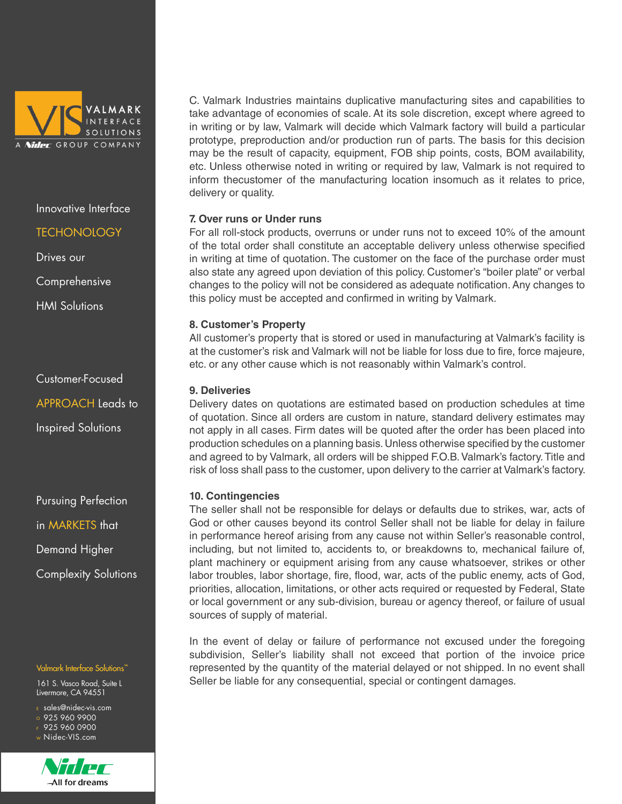

#### **TECHONOLOGY**

Drives our

Comprehensive

HMI Solutions

Customer-Focused APPROACH Leads to Inspired Solutions

Pursuing Perfection in MARKETS that Demand Higher Complexity Solutions

#### Valmark Interface Solutions<sup>"</sup>

161 S. Vasco Road, Suite L Livermore, CA 94551

<sup>E</sup> sales@nidec-vis.com

 $\overline{0}$  925 960 9900

F 925 960 0900 <sup>W</sup> Nidec-VIS.com



C. Valmark Industries maintains duplicative manufacturing sites and capabilities to take advantage of economies of scale. At its sole discretion, except where agreed to in writing or by law, Valmark will decide which Valmark factory will build a particular prototype, preproduction and/or production run of parts. The basis for this decision may be the result of capacity, equipment, FOB ship points, costs, BOM availability, etc. Unless otherwise noted in writing or required by law, Valmark is not required to inform thecustomer of the manufacturing location insomuch as it relates to price, delivery or quality.

## **7. Over runs or Under runs**

For all roll-stock products, overruns or under runs not to exceed 10% of the amount of the total order shall constitute an acceptable delivery unless otherwise specified in writing at time of quotation. The customer on the face of the purchase order must also state any agreed upon deviation of this policy. Customer's "boiler plate" or verbal changes to the policy will not be considered as adequate notification. Any changes to this policy must be accepted and confirmed in writing by Valmark.

#### **8. Customer's Property**

All customer's property that is stored or used in manufacturing at Valmark's facility is at the customer's risk and Valmark will not be liable for loss due to fire, force majeure, etc. or any other cause which is not reasonably within Valmark's control.

#### **9. Deliveries**

Delivery dates on quotations are estimated based on production schedules at time of quotation. Since all orders are custom in nature, standard delivery estimates may not apply in all cases. Firm dates will be quoted after the order has been placed into production schedules on a planning basis. Unless otherwise specified by the customer and agreed to by Valmark, all orders will be shipped F.O.B. Valmark's factory. Title and risk of loss shall pass to the customer, upon delivery to the carrier at Valmark's factory.

#### **10. Contingencies**

The seller shall not be responsible for delays or defaults due to strikes, war, acts of God or other causes beyond its control Seller shall not be liable for delay in failure in performance hereof arising from any cause not within Seller's reasonable control, including, but not limited to, accidents to, or breakdowns to, mechanical failure of, plant machinery or equipment arising from any cause whatsoever, strikes or other labor troubles, labor shortage, fire, flood, war, acts of the public enemy, acts of God, priorities, allocation, limitations, or other acts required or requested by Federal, State or local government or any sub-division, bureau or agency thereof, or failure of usual sources of supply of material.

In the event of delay or failure of performance not excused under the foregoing subdivision, Seller's liability shall not exceed that portion of the invoice price represented by the quantity of the material delayed or not shipped. In no event shall Seller be liable for any consequential, special or contingent damages.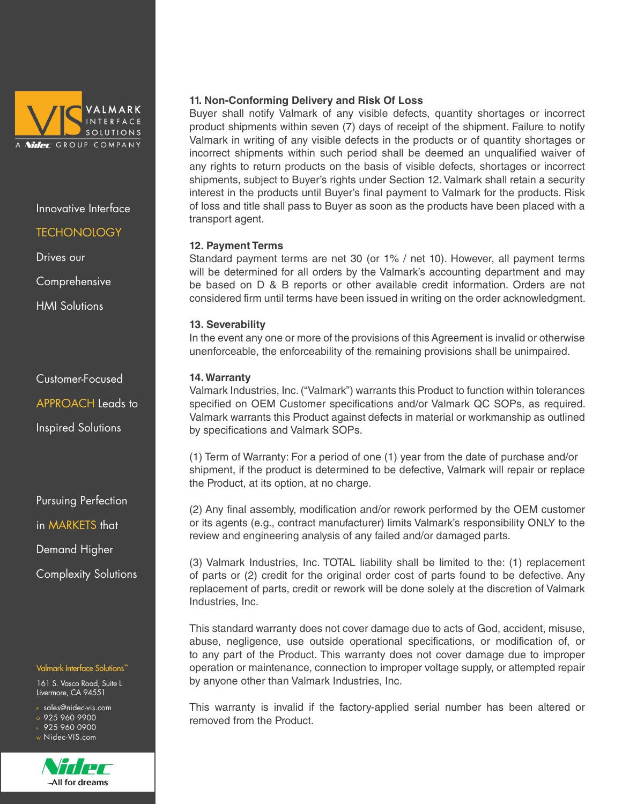

#### **TECHONOLOGY**

Drives our

Comprehensive

HMI Solutions

Customer-Focused APPROACH Leads to Inspired Solutions

Pursuing Perfection in MARKETS that Demand Higher Complexity Solutions

#### Valmark Interface Solutions<sup>™</sup>

161 S. Vasco Road, Suite L Livermore, CA 94551

- <sup>E</sup> sales@nidec-vis.com
- $\overline{0}$  925 960 9900
- F 925 960 0900 <sup>W</sup> Nidec-VIS.com



#### **11. Non-Conforming Delivery and Risk Of Loss**

Buyer shall notify Valmark of any visible defects, quantity shortages or incorrect product shipments within seven (7) days of receipt of the shipment. Failure to notify Valmark in writing of any visible defects in the products or of quantity shortages or incorrect shipments within such period shall be deemed an unqualified waiver of any rights to return products on the basis of visible defects, shortages or incorrect shipments, subject to Buyer's rights under Section 12. Valmark shall retain a security interest in the products until Buyer's final payment to Valmark for the products. Risk of loss and title shall pass to Buyer as soon as the products have been placed with a transport agent.

#### **12. Payment Terms**

Standard payment terms are net 30 (or 1% / net 10). However, all payment terms will be determined for all orders by the Valmark's accounting department and may be based on D & B reports or other available credit information. Orders are not considered firm until terms have been issued in writing on the order acknowledgment.

#### **13. Severability**

In the event any one or more of the provisions of this Agreement is invalid or otherwise unenforceable, the enforceability of the remaining provisions shall be unimpaired.

#### **14. Warranty**

Valmark Industries, Inc. ("Valmark") warrants this Product to function within tolerances specified on OEM Customer specifications and/or Valmark QC SOPs, as required. Valmark warrants this Product against defects in material or workmanship as outlined by specifications and Valmark SOPs.

(1) Term of Warranty: For a period of one (1) year from the date of purchase and/or shipment, if the product is determined to be defective, Valmark will repair or replace the Product, at its option, at no charge.

(2) Any final assembly, modification and/or rework performed by the OEM customer or its agents (e.g., contract manufacturer) limits Valmark's responsibility ONLY to the review and engineering analysis of any failed and/or damaged parts.

(3) Valmark Industries, Inc. TOTAL liability shall be limited to the: (1) replacement of parts or (2) credit for the original order cost of parts found to be defective. Any replacement of parts, credit or rework will be done solely at the discretion of Valmark Industries, Inc.

This standard warranty does not cover damage due to acts of God, accident, misuse, abuse, negligence, use outside operational specifications, or modification of, or to any part of the Product. This warranty does not cover damage due to improper operation or maintenance, connection to improper voltage supply, or attempted repair by anyone other than Valmark Industries, Inc.

This warranty is invalid if the factory-applied serial number has been altered or removed from the Product.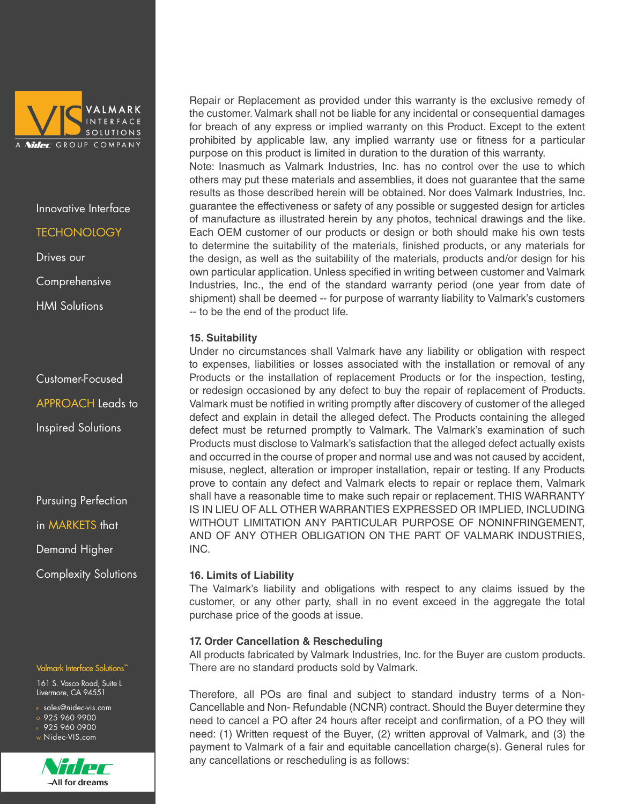

# **TECHONOLOGY**

Drives our

Comprehensive

HMI Solutions

Customer-Focused APPROACH Leads to Inspired Solutions

Pursuing Perfection in MARKETS that Demand Higher Complexity Solutions

#### Valmark Interface Solutions<sup>™</sup>

161 S. Vasco Road, Suite L Livermore, CA 94551

- <sup>E</sup> sales@nidec-vis.com
- $\overline{0}$  925 960 9900
- F 925 960 0900 <sup>W</sup> Nidec-VIS.com



All for dreams

Repair or Replacement as provided under this warranty is the exclusive remedy of the customer. Valmark shall not be liable for any incidental or consequential damages for breach of any express or implied warranty on this Product. Except to the extent prohibited by applicable law, any implied warranty use or fitness for a particular purpose on this product is limited in duration to the duration of this warranty.

Note: Inasmuch as Valmark Industries, Inc. has no control over the use to which others may put these materials and assemblies, it does not guarantee that the same results as those described herein will be obtained. Nor does Valmark Industries, Inc. guarantee the effectiveness or safety of any possible or suggested design for articles of manufacture as illustrated herein by any photos, technical drawings and the like. Each OEM customer of our products or design or both should make his own tests to determine the suitability of the materials, finished products, or any materials for the design, as well as the suitability of the materials, products and/or design for his own particular application. Unless specified in writing between customer and Valmark Industries, Inc., the end of the standard warranty period (one year from date of shipment) shall be deemed -- for purpose of warranty liability to Valmark's customers -- to be the end of the product life.

# **15. Suitability**

Under no circumstances shall Valmark have any liability or obligation with respect to expenses, liabilities or losses associated with the installation or removal of any Products or the installation of replacement Products or for the inspection, testing, or redesign occasioned by any defect to buy the repair of replacement of Products. Valmark must be notified in writing promptly after discovery of customer of the alleged defect and explain in detail the alleged defect. The Products containing the alleged defect must be returned promptly to Valmark. The Valmark's examination of such Products must disclose to Valmark's satisfaction that the alleged defect actually exists and occurred in the course of proper and normal use and was not caused by accident, misuse, neglect, alteration or improper installation, repair or testing. If any Products prove to contain any defect and Valmark elects to repair or replace them, Valmark shall have a reasonable time to make such repair or replacement. THIS WARRANTY IS IN LIEU OF ALL OTHER WARRANTIES EXPRESSED OR IMPLIED, INCLUDING WITHOUT LIMITATION ANY PARTICULAR PURPOSE OF NONINFRINGEMENT, AND OF ANY OTHER OBLIGATION ON THE PART OF VALMARK INDUSTRIES, INC.

#### **16. Limits of Liability**

The Valmark's liability and obligations with respect to any claims issued by the customer, or any other party, shall in no event exceed in the aggregate the total purchase price of the goods at issue.

# **17. Order Cancellation & Rescheduling**

All products fabricated by Valmark Industries, Inc. for the Buyer are custom products. There are no standard products sold by Valmark.

Therefore, all POs are final and subject to standard industry terms of a Non-Cancellable and Non- Refundable (NCNR) contract. Should the Buyer determine they need to cancel a PO after 24 hours after receipt and confirmation, of a PO they will need: (1) Written request of the Buyer, (2) written approval of Valmark, and (3) the payment to Valmark of a fair and equitable cancellation charge(s). General rules for any cancellations or rescheduling is as follows: